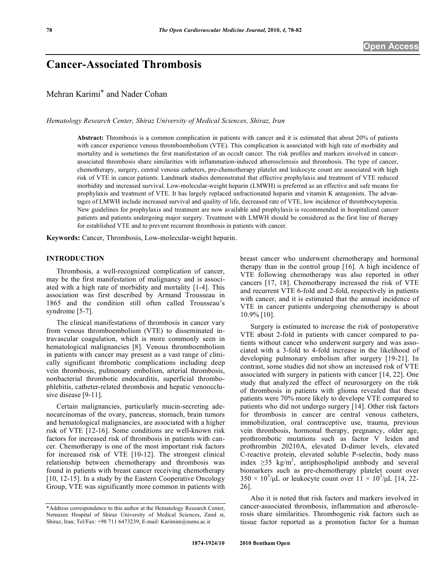# **Cancer-Associated Thrombosis**

Mehran Karimi\* and Nader Cohan

*Hematology Research Center, Shiraz University of Medical Sciences, Shiraz, Iran*

**Abstract:** Thrombosis is a common complication in patients with cancer and it is estimated that about 20% of patients with cancer experience venous thromboembolism (VTE). This complication is associated with high rate of morbidity and mortality and is sometimes the first manifestation of an occult cancer. The risk profiles and markers involved in cancerassociated thrombosis share similarities with inflammation-induced atherosclerosis and thrombosis. The type of cancer, chemotherapy, surgery, central venous catheters, pre-chemotherapy platelet and leukocyte count are associated with high risk of VTE in cancer patients. Landmark studies demonstrated that effective prophylaxis and treatment of VTE reduced morbidity and increased survival. Low-molecular-weight heparin (LMWH) is preferred as an effective and safe means for prophylaxis and treatment of VTE. It has largely replaced unfractionated heparin and vitamin K antagonists. The advantages of LMWH include increased survival and quality of life, decreased rate of VTE, low incidence of thrombocytopenia. New guidelines for prophylaxis and treatment are now available and prophylaxis is recommended in hospitalized cancer patients and patients undergoing major surgery. Treatment with LMWH should be considered as the first line of therapy for established VTE and to prevent recurrent thrombosis in patients with cancer.

**Keywords:** Cancer, Thrombosis, Low-molecular-weight heparin.

#### **INTRODUCTION**

Thrombosis, a well-recognized complication of cancer, may be the first manifestation of malignancy and is associated with a high rate of morbidity and mortality [1-4]. This association was first described by Armand Trousseau in 1865 and the condition still often called Trousseau's syndrome [5-7].

The clinical manifestations of thrombosis in cancer vary from venous thromboembolism (VTE) to disseminated intravascular coagulation, which is more commonly seen in hematological malignancies [8]. Venous thromboembolism in patients with cancer may present as a vast range of clinically significant thrombotic complications including deep vein thrombosis, pulmonary embolism, arterial thrombosis, nonbacterial thrombotic endocarditis, superficial thrombophlebitis, catheter-related thrombosis and hepatic venoocclusive disease [9-11].

Certain malignancies, particularly mucin-secreting adenocarcinomas of the ovary, pancreas, stomach, brain tumors and hematological malignancies, are associated with a higher risk of VTE [12-16]. Some conditions are well-known risk factors for increased risk of thrombosis in patients with cancer. Chemotherapy is one of the most important risk factors for increased risk of VTE [10-12]. The strongest clinical relationship between chemotherapy and thrombosis was found in patients with breast cancer receiving chemotherapy [10, 12-15]. In a study by the Eastern Cooperative Oncology Group, VTE was significantly more common in patients with breast cancer who underwent chemotherapy and hormonal therapy than in the control group [16]. A high incidence of VTE following chemotherapy was also reported in other cancers [17, 18]. Chemotherapy increased the risk of VTE and recurrent VTE 6-fold and 2-fold, respectively in patients with cancer, and it is estimated that the annual incidence of VTE in cancer patients undergoing chemotherapy is about 10.9% [10].

Surgery is estimated to increase the risk of postoperative VTE about 2-fold in patients with cancer compared to patients without cancer who underwent surgery and was associated with a 3-fold to 4-fold increase in the likelihood of developing pulmonary embolism after surgery [19-21]. In contrast, some studies did not show an increased risk of VTE associated with surgery in patients with cancer [14, 22]. One study that analyzed the effect of neurosurgery on the risk of thrombosis in patients with glioma revealed that these patients were 70% more likely to develope VTE compared to patients who did not undergo surgery [14]. Other risk factors for thrombosis in cancer are central venous catheters, immobilization, oral contraceptive use, trauma, previous vein thrombosis, hormonal therapy, pregnancy, older age, prothrombotic mutations such as factor V leiden and prothrombin 20210A, elevated D-dimer levels, elevated C-reactive protein, elevated soluble P-selectin, body mass index  $\geq$ 35 kg/m<sup>2</sup>, antiphospholipid antibody and several biomarkers such as pre-chemotherapy platelet count over  $350 \times 10^3/\mu L$  or leukocyte count over  $11 \times 10^3/\mu L$  [14, 22-26].

Also it is noted that risk factors and markers involved in cancer-associated thrombosis, inflammation and atherosclerosis share similarities. Thrombogenic risk factors such as tissue factor reported as a promotion factor for a human

<sup>\*</sup>Address correspondence to this author at the Hematology Research Center, Nemazee Hospital of Shiraz University of Medical Sciences, Zand st, Shiraz, Iran; Tel/Fax: +98 711 6473239; E-mail: Karimim@sums.ac.ir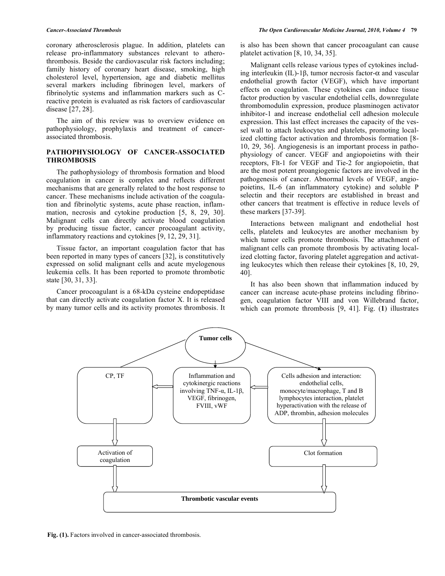coronary atherosclerosis plague. In addition, platelets can release pro-inflammatory substances relevant to atherothrombosis. Beside the cardiovascular risk factors including; family history of coronary heart disease, smoking, high cholesterol level, hypertension, age and diabetic mellitus several markers including fibrinogen level, markers of fibrinolytic systems and inflammation markers such as Creactive protein is evaluated as risk factors of cardiovascular disease [27, 28].

The aim of this review was to overview evidence on pathophysiology, prophylaxis and treatment of cancerassociated thrombosis.

### **PATHOPHYSIOLOGY OF CANCER-ASSOCIATED THROMBOSIS**

The pathophysiology of thrombosis formation and blood coagulation in cancer is complex and reflects different mechanisms that are generally related to the host response to cancer. These mechanisms include activation of the coagulation and fibrinolytic systems, acute phase reaction, inflammation, necrosis and cytokine production [5, 8, 29, 30]. Malignant cells can directly activate blood coagulation by producing tissue factor, cancer procoagulant activity, inflammatory reactions and cytokines [9, 12, 29, 31].

Tissue factor, an important coagulation factor that has been reported in many types of cancers [32], is constitutively expressed on solid malignant cells and acute myelogenous leukemia cells. It has been reported to promote thrombotic state [30, 31, 33].

Cancer procoagulant is a 68-kDa cysteine endopeptidase that can directly activate coagulation factor X. It is released by many tumor cells and its activity promotes thrombosis. It is also has been shown that cancer procoagulant can cause platelet activation [8, 10, 34, 35].

Malignant cells release various types of cytokines including interleukin (IL)-1β, tumor necrosis factor-α and vascular endothelial growth factor (VEGF), which have important effects on coagulation. These cytokines can induce tissue factor production by vascular endothelial cells, downregulate thrombomodulin expression, produce plasminogen activator inhibitor-1 and increase endothelial cell adhesion molecule expression. This last effect increases the capacity of the vessel wall to attach leukocytes and platelets, promoting localized clotting factor activation and thrombosis formation [8- 10, 29, 36]. Angiogenesis is an important process in pathophysiology of cancer. VEGF and angiopoietins with their receptors, Flt-1 for VEGF and Tie-2 for angiopoietin, that are the most potent proangiogenic factors are involved in the pathogenesis of cancer. Abnormal levels of VEGF, angiopoietins, IL-6 (an inflammatory cytokine) and soluble P selectin and their receptors are established in breast and other cancers that treatment is effective in reduce levels of these markers [37-39].

Interactions between malignant and endothelial host cells, platelets and leukocytes are another mechanism by which tumor cells promote thrombosis. The attachment of malignant cells can promote thrombosis by activating localized clotting factor, favoring platelet aggregation and activating leukocytes which then release their cytokines [8, 10, 29, 40].

It has also been shown that inflammation induced by cancer can increase acute-phase proteins including fibrinogen, coagulation factor VIII and von Willebrand factor, which can promote thrombosis [9, 41]. Fig. (**1**) illustrates



Fig. (1). Factors involved in cancer-associated thrombosis.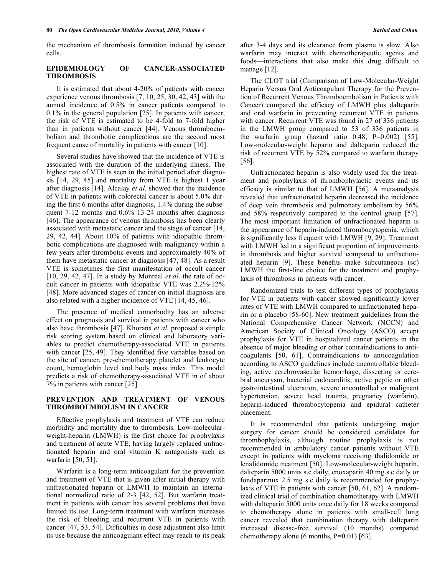the mechanism of thrombosis formation induced by cancer cells.

#### **EPIDEMIOLOGY OF CANCER-ASSOCIATED THROMBOSIS**

It is estimated that about 4-20% of patients with cancer experience venous thrombosis [7, 10, 25, 30, 42, 43] with the annual incidence of 0.5% in cancer patients compared to 0.1% in the general population [25]. In patients with cancer, the risk of VTE is estimated to be 4-fold to 7-fold higher than in patients without cancer [44]. Venous thromboembolism and thrombotic complications are the second most frequent cause of mortality in patients with cancer [10].

Several studies have showed that the incidence of VTE is associated with the duration of the underlying illness. The highest rate of VTE is seen in the initial period after diagnosis [14, 29, 45] and mortality from VTE is highest 1 year after diagnosis [14]. Alcalay *et al*. showed that the incidence of VTE in patients with colorectal cancer is about 5.0% during the first 6 months after diagnosis, 1.4% during the subsequent 7-12 months and 0.6% 13-24 months after diagnosis [46]. The appearance of venous thrombosis has been clearly associated with metastatic cancer and the stage of cancer [14, 29, 42, 44]. About 10% of patients with idiopathic thrombotic complications are diagnosed with malignancy within a few years after thrombotic events and approximately 40% of them have metastatic cancer at diagnosis [47, 48]. As a result VTE is sometimes the first manifestation of occult cancer [10, 29, 42, 47]. In a study by Monreal *et al*. the rate of occult cancer in patients with idiopathic VTE was 2.2%-12% [48]. More advanced stages of cancer on initial diagnosis are also related with a higher incidence of VTE [14, 45, 46].

The presence of medical comorbodity has an adverse effect on prognosis and survival in patients with cancer who also have thrombosis [47]. Khorana *et al*. proposed a simple risk scoring system based on clinical and laboratory variables to predict chemotherapy-associated VTE in patients with cancer [25, 49]. They identified five variables based on the site of cancer, pre-chemotherapy platelet and leukocyte count, hemoglobin level and body mass index. This model predicts a risk of chemotherapy-associated VTE in of about 7% in patients with cancer [25].

#### **PREVENTION AND TREATMENT OF VENOUS THROMBOEMBOLISM IN CANCER**

Effective prophylaxis and treatment of VTE can reduce morbidity and mortality due to thrombosis. Low-molecularweight-heparin (LMWH) is the first choice for prophylaxis and treatment of acute VTE, having largely replaced unfractionated heparin and oral vitamin K antagonists such as warfarin [50, 51].

Warfarin is a long-term anticoagulant for the prevention and treatment of VTE that is given after initial therapy with unfractionated heparin or LMWH to maintain an international normalized ratio of 2-3 [42, 52]. But warfarin treatment in patients with cancer has several problems that have limited its use. Long-term treatment with warfarin increases the risk of bleeding and recurrent VTE in patients with cancer [47, 53, 54]. Difficulties in dose adjustment also limit its use because the anticoagulant effect may reach to its peak after 3-4 days and its clearance from plasma is slow. Also warfarin may interact with chemotherapeutic agents and foods—interactions that also make this drug difficult to manage [12].

The CLOT trial (Comparison of Low-Molecular-Weight Heparin Versus Oral Anticoagulant Therapy for the Prevention of Recurrent Venous Thromboembolism in Patients with Cancer) compared the efficacy of LMWH plus dalteparin and oral warfarin in preventing recurrent VTE in patients with cancer. Recurrent VTE was found in 27 of 336 patients in the LMWH group compared to 53 of 336 patients in the warfarin group (hazard ratio  $0.48$ ,  $P=0.002$ ) [55]. Low-molecular-weight heparin and dalteparin reduced the risk of recurrent VTE by 52% compared to warfarin therapy [56].

Unfractionated heparin is also widely used for the treatment and prophylaxis of thrombophylactic events and its efficacy is similar to that of LMWH [56]. A metaanalysis revealed that unfractionated heparin decreased the incidence of deep vein thrombosis and pulmonary embolism by 56% and 58% respectively compared to the control group [57]. The most important limitation of unfractionated heparin is the appearance of heparin-induced thrombocytopenia, which is significantly less frequent with LMWH [9, 29]. Treatment with LMWH led to a significant proportion of improvements in thrombosis and higher survival compared to unfractionated heparin [9]. These benefits make subcutaneous (sc) LMWH the first-line choice for the treatment and prophylaxis of thrombosis in patients with cancer.

Randomized trials to test different types of prophylaxis for VTE in patients with cancer showed significantly lower rates of VTE with LMWH compared to unfractionated heparin or a placebo [58-60]. New treatment guidelines from the National Comprehensive Cancer Network (NCCN) and American Society of Clinical Oncology (ASCO) accept prophylaxis for VTE in hospitalized cancer patients in the absence of major bleeding or other contraindications to anticoagulants [50, 61]. Contraindications to anticoagulation according to ASCO guidelines include uncontrollable bleeding, active cerebrovascular hemorrhage, dissecting or cerebral aneurysm, bacterial endocarditis, active peptic or other gastrointestinal ulceration, severe uncontrolled or malignant hypertension, severe head trauma, pregnancy (warfarin), heparin-induced thrombocytopenia and epidural catheter placement.

It is recommended that patients undergoing major surgery for cancer should be considered candidates for thrombophylaxis, although routine prophylaxis is not recommended in ambulatory cancer patients without VTE except in patients with myeloma receiving thalidomide or lenalidomide treatment [50]. Low-molecular-weight heparin, dalteparin 5000 units s.c daily, enoxaparin 40 mg s.c daily or fondaparinux 2.5 mg s.c daily is recommended for prophylaxis of VTE in patients with cancer [50, 61, 62]. A randomized clinical trial of combination chemotherapy with LMWH with dalteparin 5000 units once daily for 18 weeks compared to chemotherapy alone in patients with small-cell lung cancer revealed that combination therapy with dalteparin increased disease-free survival (10 months) compared chemotherapy alone (6 months,  $P=0.01$ ) [63].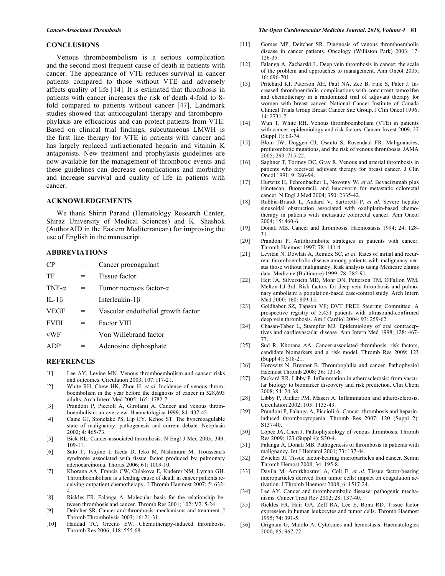#### **CONCLUSIONS**

Venous thromboembolism is a serious complication and the second most frequent cause of death in patients with cancer. The appearance of VTE reduces survival in cancer patients compared to those without VTE and adversely affects quality of life [14]. It is estimated that thrombosis in patients with cancer increases the risk of death 4-fold to 8 fold compared to patients without cancer [47]. Landmark studies showed that anticoagulant therapy and thromboprophylaxis are efficacious and can protect patients from VTE. Based on clinical trial findings, subcutaneous LMWH is the first line therapy for VTE in patients with cancer and has largely replaced unfractionated heparin and vitamin K antagonists. New treatment and prophylaxis guidelines are now available for the management of thrombotic events and these guidelines can decrease complications and morbidity and increase survival and quality of life in patients with cancer.

### **ACKNOWLEDGEMENTS**

We thank Shirin Parand (Hematology Research Center, Shiraz University of Medical Sciences) and K. Shashok (AuthorAID in the Eastern Mediterranean) for improving the use of English in the manuscript.

## **ABBREVIATIONS**

| CP            |     | Cancer procoagulant                |
|---------------|-----|------------------------------------|
| TF            | $=$ | Tissue factor                      |
| TNF- $\alpha$ | $=$ | Tumor necrosis factor- $\alpha$    |
| IL-1 $\beta$  | =   | Interleukin- $1\beta$              |
| <b>VEGF</b>   | $=$ | Vascular endothelial growth factor |
| <b>FVIII</b>  | $=$ | <b>Factor VIII</b>                 |
| vWF           | $=$ | Von Willebrand factor              |
| <b>ADP</b>    | =   | Adenosine diphosphate              |
|               |     |                                    |

#### **REFERENCES**

- [1] Lee AY, Levine MN. Venous thromboembolism and cancer: risks and outcomes. Circulation 2003; 107: I17-21.
- [2] White RH, Chew HK, Zhou H, *et al*. Incidence of venous thromboembolism in the year before the diagnosis of cancer in 528,693 adults. Arch Intern Med 2005; 165: 1782-7.
- [3] Prandoni P, Piccioli A, Girolami A. Cancer and venous thromboembolism: an overview. Haematologica 1999; 84: 437-45.
- [4] Caine GJ, Stonelake PS, Lip GY, Kehoe ST. The hypercoagulable state of malignancy: pathogenesis and current debate. Neoplasia 2002; 4: 465-73.
- [5] Bick RL. Cancer-associated thrombosis. N Engl J Med 2003; 349: 109-11.
- [6] Sato T, Tsujino I, Ikeda D, Ieko M, Nishimura M. Trousseau's syndrome associated with tissue factor produced by pulmonary adenocarcinoma. Thorax 2006; 61: 1009-10.
- [7] Khorana AA, Francis CW, Culakova E, Kuderer NM, Lyman GH. Thromboembolism is a leading cause of death in cancer patients receiving outpatient chemotherapy. J Thromb Haemost 2007; 5: 632- 4.
- [8] Rickles FR, Falanga A. Molecular basis for the relationship between thrombosis and cancer. Thromb Res 2001; 102: V215-24.
- [9] Deitcher SR. Cancer and thrombosis: mechanisms and treatment. J Thromb Thrombolysis 2003; 16: 21-31.
- [10] Haddad TC, Greeno EW. Chemotherapy-induced thrombosis. Thromb Res 2006; 118: 555-68.
- [11] Gomes MP, Deitcher SR. Diagnosis of venous thromboembolic disease in cancer patients. Oncology (Williston Park) 2003; 17: 126-35.
- [12] Falanga A, Zacharski L. Deep vein thrombosis in cancer: the scale of the problem and approaches to management. Ann Oncol 2005; 16: 696-701.
- [13] Pritchard KI, Paterson AH, Paul NA, Zee B, Fine S, Pater J. Increased thromboembolic complications with concurrent tamoxifen and chemotherapy in a randomized trial of adjuvant therapy for women with breast cancer. National Cancer Institute of Canada Clinical Trials Group Breast Cancer Site Group. J Clin Oncol 1996; 14: 2731-7.
- [14] Wun T, White RH. Venous thromboembolism (VTE) in patients with cancer: epidemiology and risk factors. Cancer Invest 2009; 27 (Suppl 1): 63-74.
- [15] Blom JW, Doggen CJ, Osanto S, Rosendaal FR. Malignancies, prothrombotic mutations, and the risk of venous thrombosis. JAMA 2005; 293: 715-22.
- [16] Saphner T, Tormey DC, Gray R. Venous and arterial thrombosis in patients who received adjuvant therapy for breast cancer. J Clin  $\overline{O}$ ncol 1991; 9: 286-94.
- [17] Hurwitz H, Fehrenbacher L, Novotny W, *et al*. Bevacizumab plus irinotecan, fluorouracil, and leucovorin for metastatic colorectal cancer. N Engl J Med 2004; 350: 2335-42.
- [18] Rubbia-Brandt L, Audard V, Sartoretti P, *et al*. Severe hepatic sinusoidal obstruction associated with oxaliplatin-based chemotherapy in patients with metastatic colorectal cancer. Ann Oncol 2004; 15: 460-6.
- [19] Donati MB. Cancer and thrombosis. Haemostasis 1994; 24: 128- 31.
- [20] Prandoni P. Antithrombotic strategies in patients with cancer. Thromb Haemost 1997; 78: 141-4.
- [21] Levitan N, Dowlati A, Remick SC, *et al*. Rates of initial and recurrent thromboembolic disease among patients with malignancy versus those without malignancy. Risk analysis using Medicare claims data. Medicine (Baltimore) 1999; 78: 285-91.
- [22] Heit JA, Silverstein MD, Mohr DN, Petterson TM, O'Fallon WM, Melton LJ 3rd. Risk factors for deep vein thrombosis and pulmonary embolism: a population-based case-control study. Arch Intern Med 2000; 160: 809-15.
- [23] Goldhaber SZ, Tapson VF; DVT FREE Steering Committee. A prospective registry of 5,451 patients with ultrasound-confirmed deep vein thrombosis. Am J Cardiol 2004; 93: 259-62.
- [24] Chasan-Taber L, Stampfer MJ. Epidemiology of oral contraceptives and cardiovascular disease. Ann Intern Med 1998; 128: 467- 77.
- [25] Sud R, Khorana AA. Cancer-associated thrombosis: risk factors, candidate biomarkers and a risk model. Thromb Res 2009; 123 (Suppl 4): S18-21.
- [26] Horowitz N, Brenner B. Thrombophilia and cancer. Pathophysiol Haemost Thromb 2008; 36: 131-6.
- [27] Packard RR, Libby P. Inflammation in atherosclerosis: from vascular biology to biomarker discovery and risk prediction. Clin Chem 2008; 54: 24-38.
- [28] Libby P, Ridker PM, Maseri A. Inflammation and atherosclerosis. Circulation 2002; 105: 1135-43.
- [29] Prandoni P, Falanga A, Piccioli A. Cancer, thrombosis and heparininduced thrombocytopenia. Thromb Res 2007; 120 (Suppl 2): S137-40.
- [30] López JA, Chen J. Pathophysiology of venous thrombosis. Thromb Res 2009; 123 (Suppl 4): S30-4.
- [31] Falanga A, Donati MB. Pathogenesis of thrombosis in patients with malignancy. Int J Hematol 2001; 73: 137-44.
- [32] Zwicker JI. Tissue factor-bearing microparticles and cancer. Semin Thromb Hemost 2008; 34: 195-8.
- [33] Davila M, Amirkhosravi A, Coll E, *et al*. Tissue factor-bearing microparticles derived from tumor cells: impact on coagulation activation. J Thromb Haemost 2008; 6: 1517-24.
- [34] Lee AY. Cancer and thromboembolic disease: pathogenic mechanisms. Cancer Treat Rev 2002; 28: 137-40.
- [35] Rickles FR, Hair GA, Zeff RA, Lee E, Bona RD. Tissue factor expression in human leukocytes and tumor cells. Thromb Haemost 1995; 74: 391-5.
- [36] Grignani G, Maiolo A. Cytokines and hemostasis. Haematologica 2000; 85: 967-72.